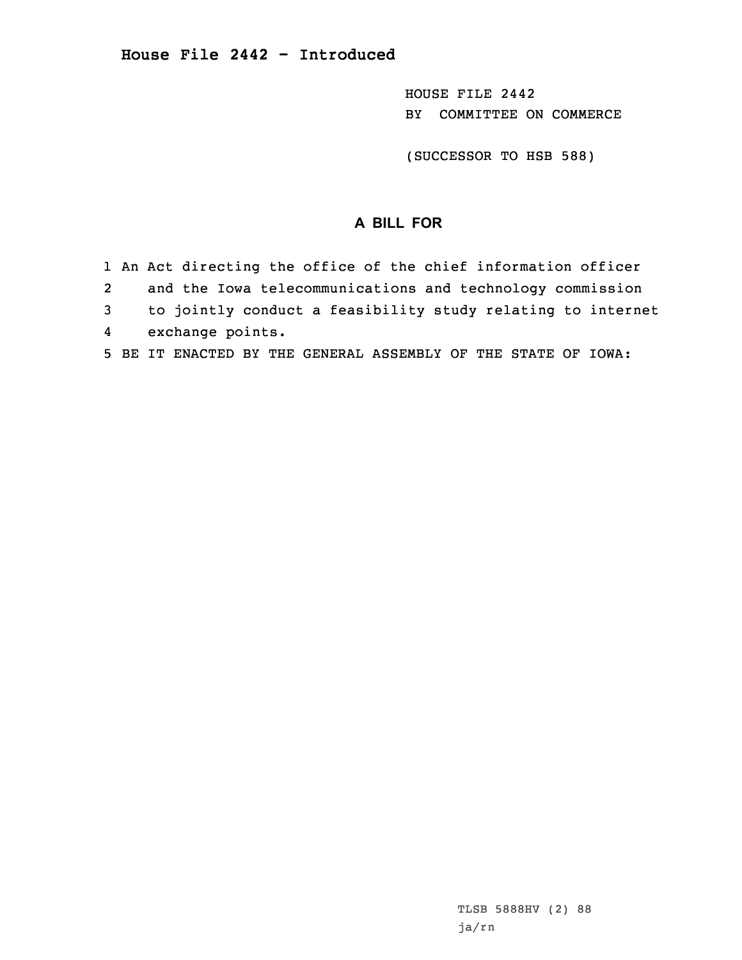HOUSE FILE 2442 BY COMMITTEE ON COMMERCE

(SUCCESSOR TO HSB 588)

## **A BILL FOR**

|   |                         | 1 An Act directing the office of the chief information officer |
|---|-------------------------|----------------------------------------------------------------|
| 2 |                         | and the Iowa telecommunications and technology commission      |
|   | $\overline{\mathbf{3}}$ | to jointly conduct a feasibility study relating to internet    |
|   |                         | 4 exchange points.                                             |
|   |                         | 5 BE IT ENACTED BY THE GENERAL ASSEMBLY OF THE STATE OF IOWA:  |